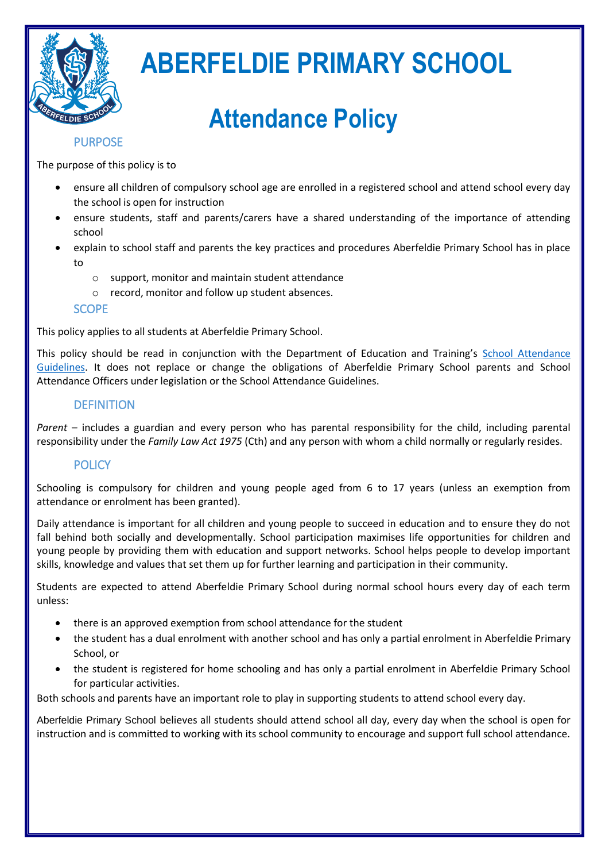

# **ABERFELDIE PRIMARY SCHOOL**

# **Attendance Policy**

# PURPOSE

The purpose of this policy is to

- ensure all children of compulsory school age are enrolled in a registered school and attend school every day the school is open for instruction
- ensure students, staff and parents/carers have a shared understanding of the importance of attending school
- explain to school staff and parents the key practices and procedures Aberfeldie Primary School has in place to
	- o support, monitor and maintain student attendance
	- o record, monitor and follow up student absences.

# **SCOPE**

This policy applies to all students at Aberfeldie Primary School.

This policy should be read in conjunction with the Department of Education and Training's [School Attendance](http://www.education.vic.gov.au/school/teachers/studentmanagement/Pages/attendance.aspx)  [Guidelines.](http://www.education.vic.gov.au/school/teachers/studentmanagement/Pages/attendance.aspx) It does not replace or change the obligations of Aberfeldie Primary School parents and School Attendance Officers under legislation or the School Attendance Guidelines.

# **DEFINITION**

*Parent* – includes a guardian and every person who has parental responsibility for the child, including parental responsibility under the *Family Law Act 1975* (Cth) and any person with whom a child normally or regularly resides.

# **POLICY**

Schooling is compulsory for children and young people aged from 6 to 17 years (unless an exemption from attendance or enrolment has been granted).

Daily attendance is important for all children and young people to succeed in education and to ensure they do not fall behind both socially and developmentally. School participation maximises life opportunities for children and young people by providing them with education and support networks. School helps people to develop important skills, knowledge and values that set them up for further learning and participation in their community.

Students are expected to attend Aberfeldie Primary School during normal school hours every day of each term unless:

- there is an approved exemption from school attendance for the student
- the student has a dual enrolment with another school and has only a partial enrolment in Aberfeldie Primary School, or
- the student is registered for home schooling and has only a partial enrolment in Aberfeldie Primary School for particular activities.

Both schools and parents have an important role to play in supporting students to attend school every day.

Aberfeldie Primary School believes all students should attend school all day, every day when the school is open for instruction and is committed to working with its school community to encourage and support full school attendance.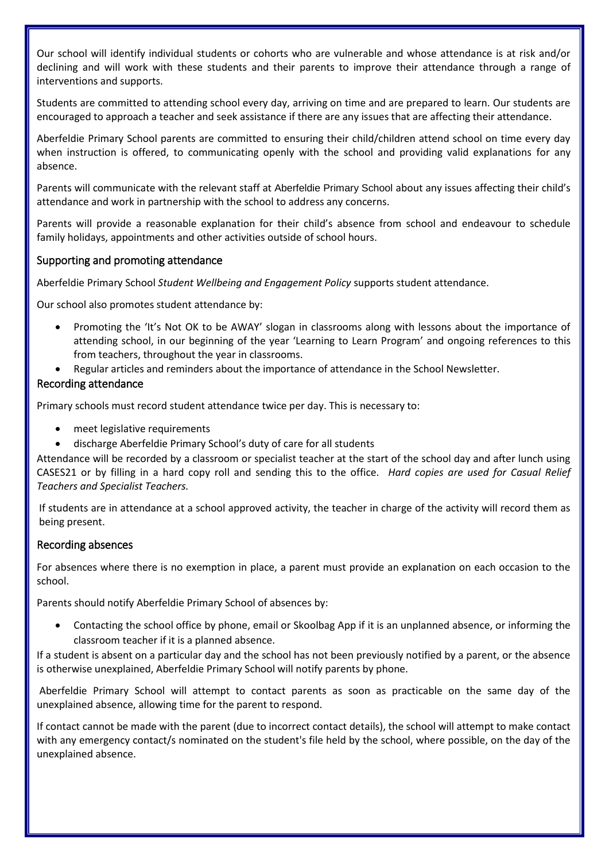Our school will identify individual students or cohorts who are vulnerable and whose attendance is at risk and/or declining and will work with these students and their parents to improve their attendance through a range of interventions and supports.

Students are committed to attending school every day, arriving on time and are prepared to learn. Our students are encouraged to approach a teacher and seek assistance if there are any issues that are affecting their attendance.

Aberfeldie Primary School parents are committed to ensuring their child/children attend school on time every day when instruction is offered, to communicating openly with the school and providing valid explanations for any absence.

Parents will communicate with the relevant staff at Aberfeldie Primary School about any issues affecting their child's attendance and work in partnership with the school to address any concerns.

Parents will provide a reasonable explanation for their child's absence from school and endeavour to schedule family holidays, appointments and other activities outside of school hours.

## Supporting and promoting attendance

Aberfeldie Primary School *Student Wellbeing and Engagement Policy* supports student attendance.

Our school also promotes student attendance by:

- Promoting the 'It's Not OK to be AWAY' slogan in classrooms along with lessons about the importance of attending school, in our beginning of the year 'Learning to Learn Program' and ongoing references to this from teachers, throughout the year in classrooms.
- Regular articles and reminders about the importance of attendance in the School Newsletter.

## Recording attendance

Primary schools must record student attendance twice per day. This is necessary to:

- meet legislative requirements
- discharge Aberfeldie Primary School's duty of care for all students

Attendance will be recorded by a classroom or specialist teacher at the start of the school day and after lunch using CASES21 or by filling in a hard copy roll and sending this to the office. *Hard copies are used for Casual Relief Teachers and Specialist Teachers.* 

If students are in attendance at a school approved activity, the teacher in charge of the activity will record them as being present.

#### Recording absences

For absences where there is no exemption in place, a parent must provide an explanation on each occasion to the school.

Parents should notify Aberfeldie Primary School of absences by:

 Contacting the school office by phone, email or Skoolbag App if it is an unplanned absence, or informing the classroom teacher if it is a planned absence.

If a student is absent on a particular day and the school has not been previously notified by a parent, or the absence is otherwise unexplained, Aberfeldie Primary School will notify parents by phone.

Aberfeldie Primary School will attempt to contact parents as soon as practicable on the same day of the unexplained absence, allowing time for the parent to respond.

If contact cannot be made with the parent (due to incorrect contact details), the school will attempt to make contact with any emergency contact/s nominated on the student's file held by the school, where possible, on the day of the unexplained absence.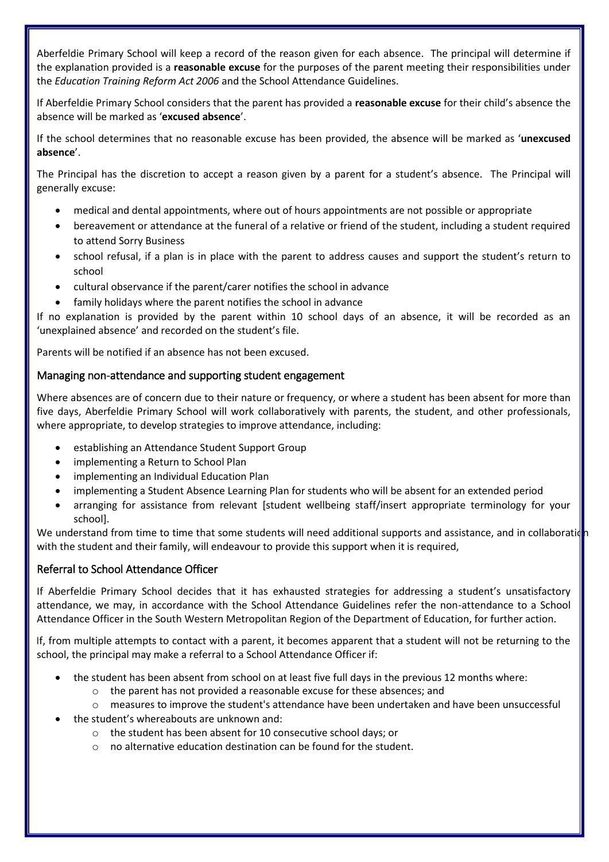Aberfeldie Primary School will keep a record of the reason given for each absence. The principal will determine if the explanation provided is a **reasonable excuse** for the purposes of the parent meeting their responsibilities under the *Education Training Reform Act 2006* and the School Attendance Guidelines.

If Aberfeldie Primary School considers that the parent has provided a **reasonable excuse** for their child's absence the absence will be marked as '**excused absence**'.

If the school determines that no reasonable excuse has been provided, the absence will be marked as '**unexcused absence**'.

The Principal has the discretion to accept a reason given by a parent for a student's absence. The Principal will generally excuse:

- medical and dental appointments, where out of hours appointments are not possible or appropriate
- bereavement or attendance at the funeral of a relative or friend of the student, including a student required to attend Sorry Business
- school refusal, if a plan is in place with the parent to address causes and support the student's return to school
- cultural observance if the parent/carer notifies the school in advance
- family holidays where the parent notifies the school in advance

If no explanation is provided by the parent within 10 school days of an absence, it will be recorded as an 'unexplained absence' and recorded on the student's file.

Parents will be notified if an absence has not been excused.

## Managing non-attendance and supporting student engagement

Where absences are of concern due to their nature or frequency, or where a student has been absent for more than five days, Aberfeldie Primary School will work collaboratively with parents, the student, and other professionals, where appropriate, to develop strategies to improve attendance, including:

- establishing an Attendance Student Support Group
- implementing a Return to School Plan
- implementing an Individual Education Plan
- implementing a Student Absence Learning Plan for students who will be absent for an extended period
- arranging for assistance from relevant [student wellbeing staff/insert appropriate terminology for your school].

We understand from time to time that some students will need additional supports and assistance, and in collaboratid with the student and their family, will endeavour to provide this support when it is required,

# Referral to School Attendance Officer

If Aberfeldie Primary School decides that it has exhausted strategies for addressing a student's unsatisfactory attendance, we may, in accordance with the School Attendance Guidelines refer the non-attendance to a School Attendance Officer in the South Western Metropolitan Region of the Department of Education, for further action.

If, from multiple attempts to contact with a parent, it becomes apparent that a student will not be returning to the school, the principal may make a referral to a School Attendance Officer if:

- the student has been absent from school on at least five full days in the previous 12 months where:
	- o the parent has not provided a reasonable excuse for these absences; and
	- $\circ$  measures to improve the student's attendance have been undertaken and have been unsuccessful
- the student's whereabouts are unknown and:
	- o the student has been absent for 10 consecutive school days; or
	- $\circ$  no alternative education destination can be found for the student.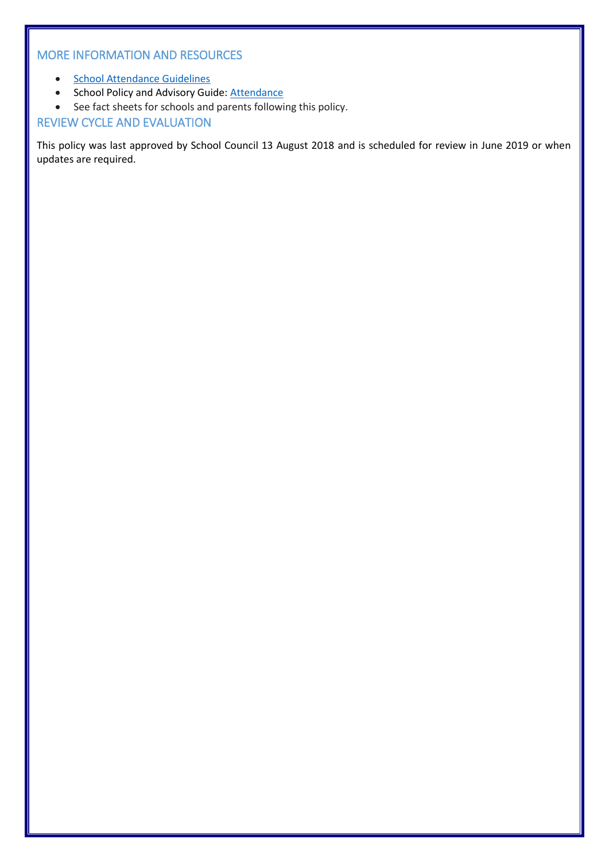# MORE INFORMATION AND RESOURCES

- [School Attendance Guidelines](http://www.education.vic.gov.au/school/teachers/studentmanagement/Pages/attendance.aspx)
- School Policy and Advisory Guide: [Attendance](http://www.education.vic.gov.au/school/principals/spag/participation/pages/attendance.aspx)
- See fact sheets for schools and parents following this policy.

# REVIEW CYCLE AND EVALUATION

This policy was last approved by School Council 13 August 2018 and is scheduled for review in June 2019 or when updates are required.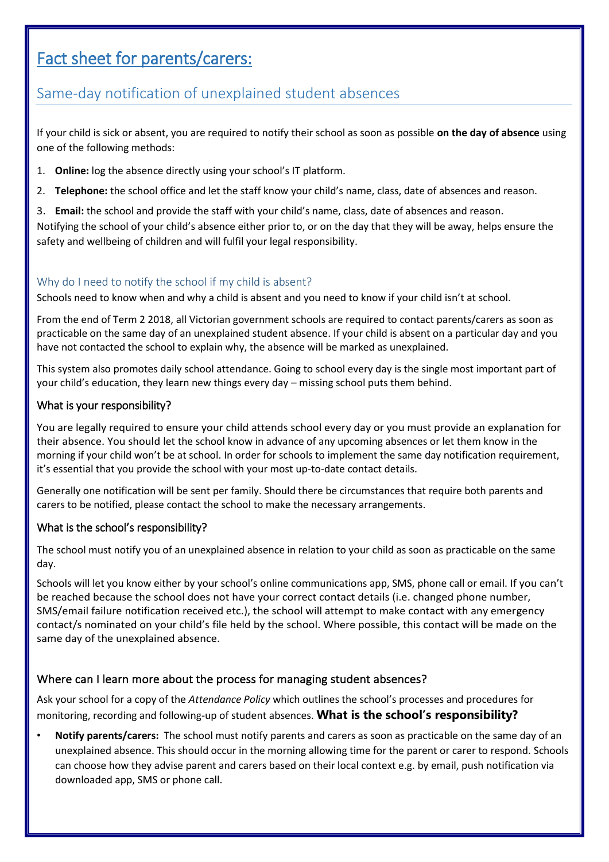# Fact sheet for parents/carers:

# Same-day notification of unexplained student absences

If your child is sick or absent, you are required to notify their school as soon as possible **on the day of absence** using one of the following methods:

- 1. **Online:** log the absence directly using your school's IT platform.
- 2. **Telephone:** the school office and let the staff know your child's name, class, date of absences and reason.
- 3. **Email:** the school and provide the staff with your child's name, class, date of absences and reason.

Notifying the school of your child's absence either prior to, or on the day that they will be away, helps ensure the safety and wellbeing of children and will fulfil your legal responsibility.

# Why do I need to notify the school if my child is absent?

Schools need to know when and why a child is absent and you need to know if your child isn't at school.

From the end of Term 2 2018, all Victorian government schools are required to contact parents/carers as soon as practicable on the same day of an unexplained student absence. If your child is absent on a particular day and you have not contacted the school to explain why, the absence will be marked as unexplained.

This system also promotes daily school attendance. Going to school every day is the single most important part of your child's education, they learn new things every day – missing school puts them behind.

#### What is your responsibility?

You are legally required to ensure your child attends school every day or you must provide an explanation for their absence. You should let the school know in advance of any upcoming absences or let them know in the morning if your child won't be at school. In order for schools to implement the same day notification requirement, it's essential that you provide the school with your most up-to-date contact details.

Generally one notification will be sent per family. Should there be circumstances that require both parents and carers to be notified, please contact the school to make the necessary arrangements.

# What is the school's responsibility?

The school must notify you of an unexplained absence in relation to your child as soon as practicable on the same day.

Schools will let you know either by your school's online communications app, SMS, phone call or email. If you can't be reached because the school does not have your correct contact details (i.e. changed phone number, SMS/email failure notification received etc.), the school will attempt to make contact with any emergency contact/s nominated on your child's file held by the school. Where possible, this contact will be made on the same day of the unexplained absence.

# Where can I learn more about the process for managing student absences?

Ask your school for a copy of the *Attendance Policy* which outlines the school's processes and procedures for monitoring, recording and following-up of student absences. **What is the school's responsibility?**

• **Notify parents/carers:** The school must notify parents and carers as soon as practicable on the same day of an unexplained absence. This should occur in the morning allowing time for the parent or carer to respond. Schools can choose how they advise parent and carers based on their local context e.g. by email, push notification via downloaded app, SMS or phone call.